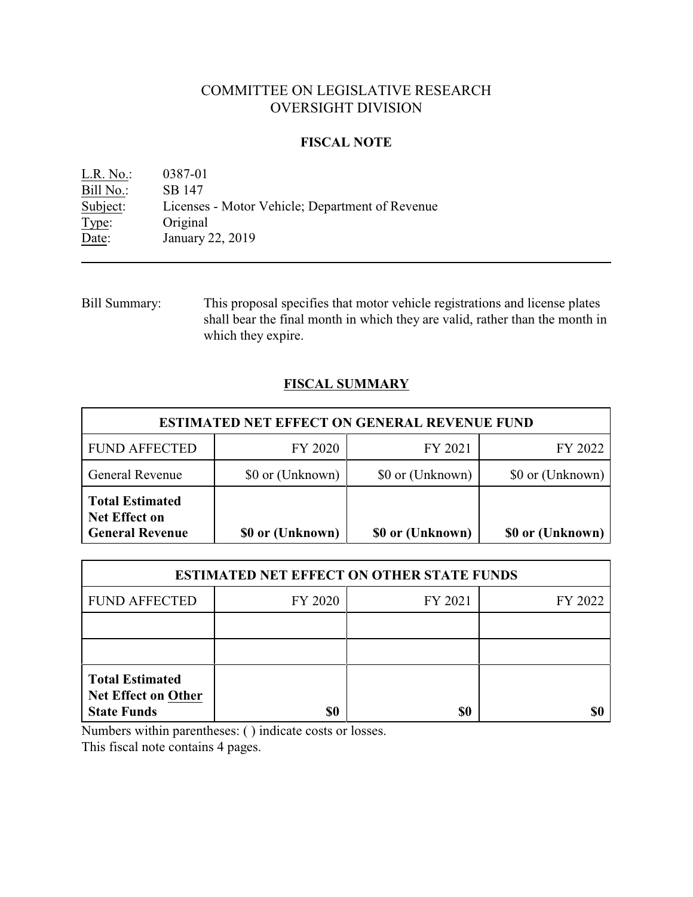# COMMITTEE ON LEGISLATIVE RESEARCH OVERSIGHT DIVISION

# **FISCAL NOTE**

L.R. No.: 0387-01 Bill No.: SB 147<br>Subject: Licenses Licenses - Motor Vehicle; Department of Revenue Type: Original Date: January 22, 2019

Bill Summary: This proposal specifies that motor vehicle registrations and license plates shall bear the final month in which they are valid, rather than the month in which they expire.

# **FISCAL SUMMARY**

| <b>ESTIMATED NET EFFECT ON GENERAL REVENUE FUND</b>                      |                  |                  |                  |  |
|--------------------------------------------------------------------------|------------------|------------------|------------------|--|
| <b>FUND AFFECTED</b>                                                     | FY 2020          | FY 2021          | FY 2022          |  |
| General Revenue                                                          | \$0 or (Unknown) | \$0 or (Unknown) | \$0 or (Unknown) |  |
| <b>Total Estimated</b><br><b>Net Effect on</b><br><b>General Revenue</b> | \$0 or (Unknown) | \$0 or (Unknown) | \$0 or (Unknown) |  |

| <b>ESTIMATED NET EFFECT ON OTHER STATE FUNDS</b>                           |         |         |         |  |
|----------------------------------------------------------------------------|---------|---------|---------|--|
| <b>FUND AFFECTED</b>                                                       | FY 2020 | FY 2021 | FY 2022 |  |
|                                                                            |         |         |         |  |
|                                                                            |         |         |         |  |
| <b>Total Estimated</b><br><b>Net Effect on Other</b><br><b>State Funds</b> | \$0     | \$0     |         |  |

Numbers within parentheses: ( ) indicate costs or losses.

This fiscal note contains 4 pages.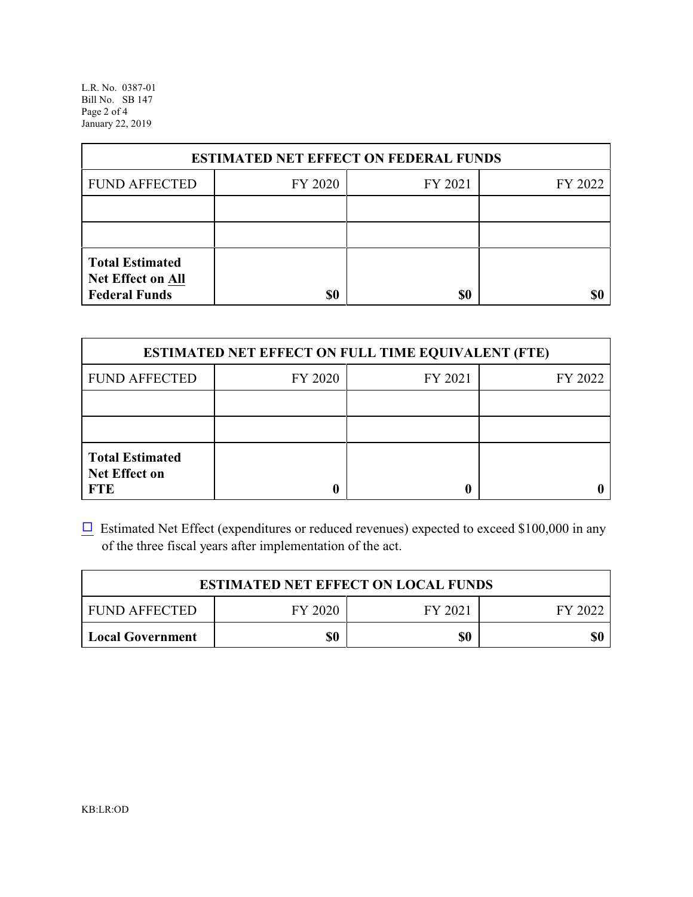L.R. No. 0387-01 Bill No. SB 147 Page 2 of 4 January 22, 2019

| <b>ESTIMATED NET EFFECT ON FEDERAL FUNDS</b>                        |         |         |         |  |
|---------------------------------------------------------------------|---------|---------|---------|--|
| <b>FUND AFFECTED</b>                                                | FY 2020 | FY 2021 | FY 2022 |  |
|                                                                     |         |         |         |  |
|                                                                     |         |         |         |  |
| <b>Total Estimated</b><br>Net Effect on All<br><b>Federal Funds</b> | \$0     | \$0     |         |  |

| <b>ESTIMATED NET EFFECT ON FULL TIME EQUIVALENT (FTE)</b>    |         |         |         |  |
|--------------------------------------------------------------|---------|---------|---------|--|
| <b>FUND AFFECTED</b>                                         | FY 2020 | FY 2021 | FY 2022 |  |
|                                                              |         |         |         |  |
|                                                              |         |         |         |  |
| <b>Total Estimated</b><br><b>Net Effect on</b><br><b>FTE</b> |         |         |         |  |

 $\Box$  Estimated Net Effect (expenditures or reduced revenues) expected to exceed \$100,000 in any of the three fiscal years after implementation of the act.

| <b>ESTIMATED NET EFFECT ON LOCAL FUNDS</b> |         |         |         |  |
|--------------------------------------------|---------|---------|---------|--|
| <b>FUND AFFECTED</b>                       | FY 2020 | FY 2021 | FY 2022 |  |
| <b>Local Government</b>                    | \$0     | \$0     | \$0     |  |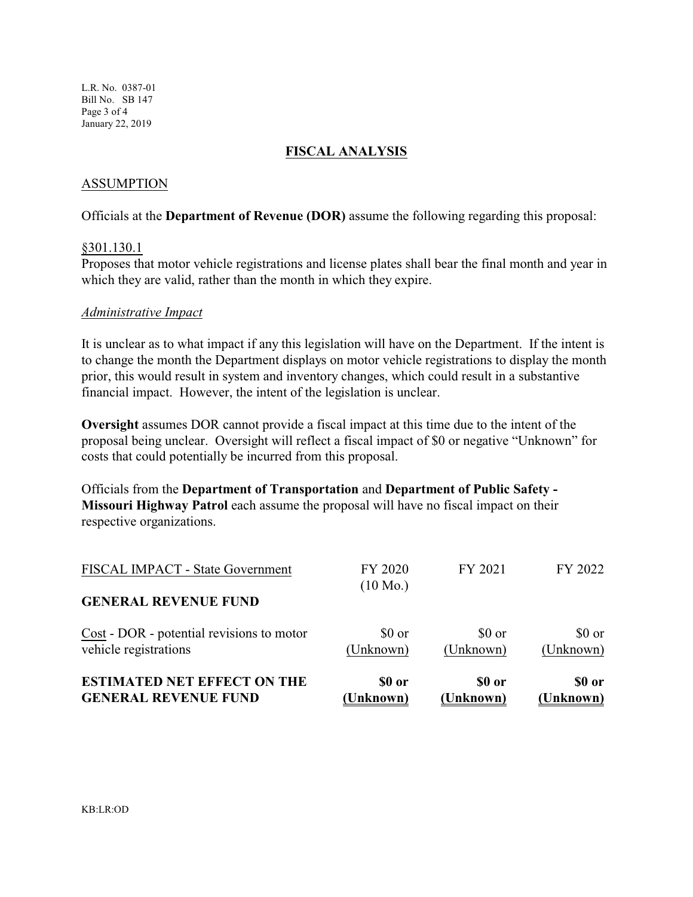L.R. No. 0387-01 Bill No. SB 147 Page 3 of 4 January 22, 2019

#### **FISCAL ANALYSIS**

### ASSUMPTION

Officials at the **Department of Revenue (DOR)** assume the following regarding this proposal:

#### §301.130.1

Proposes that motor vehicle registrations and license plates shall bear the final month and year in which they are valid, rather than the month in which they expire.

#### *Administrative Impact*

It is unclear as to what impact if any this legislation will have on the Department. If the intent is to change the month the Department displays on motor vehicle registrations to display the month prior, this would result in system and inventory changes, which could result in a substantive financial impact. However, the intent of the legislation is unclear.

**Oversight** assumes DOR cannot provide a fiscal impact at this time due to the intent of the proposal being unclear. Oversight will reflect a fiscal impact of \$0 or negative "Unknown" for costs that could potentially be incurred from this proposal.

Officials from the **Department of Transportation** and **Department of Public Safety - Missouri Highway Patrol** each assume the proposal will have no fiscal impact on their respective organizations.

| <b>ESTIMATED NET EFFECT ON THE</b><br><b>GENERAL REVENUE FUND</b>  | \$0 or<br>(Unknown) | \$0 or<br>(Unknown) | \$0 or<br>(Unknown)          |
|--------------------------------------------------------------------|---------------------|---------------------|------------------------------|
| Cost - DOR - potential revisions to motor<br>vehicle registrations | \$0 or<br>(Unknown) | \$0 or<br>(Unknown) | $$0 \text{ or}$<br>(Unknown) |
| <b>GENERAL REVENUE FUND</b>                                        |                     |                     |                              |
|                                                                    | $(10 \text{ Mo.})$  |                     |                              |
| FISCAL IMPACT - State Government                                   | FY 2020             | FY 2021             | FY 2022                      |